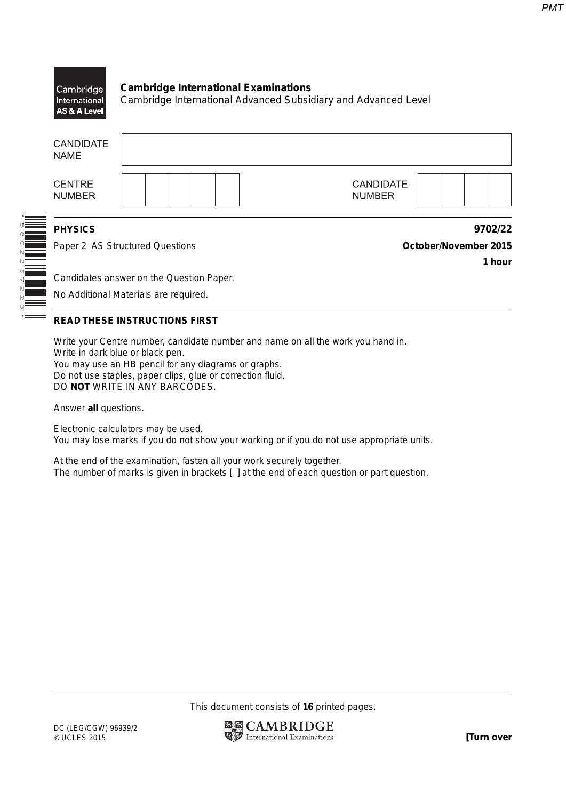

| <b>CANDIDATE</b><br><b>NAME</b> |                                          |                                   |  |
|---------------------------------|------------------------------------------|-----------------------------------|--|
| <b>CENTRE</b><br><b>NUMBER</b>  |                                          | <b>CANDIDATE</b><br><b>NUMBER</b> |  |
| <b>PHYSICS</b>                  |                                          | 9702/22                           |  |
| Paper 2 AS Structured Questions |                                          | October/November 2015             |  |
|                                 |                                          | 1 hour                            |  |
|                                 | Candidates answer on the Question Paper. |                                   |  |
|                                 | No Additional Materials are required.    |                                   |  |
|                                 |                                          |                                   |  |

\*5802267223\*

# **READ THESE INSTRUCTIONS FIRST**

Write your Centre number, candidate number and name on all the work you hand in. Write in dark blue or black pen. You may use an HB pencil for any diagrams or graphs. Do not use staples, paper clips, glue or correction fluid. DO **NOT** WRITE IN ANY BARCODES.

Answer **all** questions.

Electronic calculators may be used. You may lose marks if you do not show your working or if you do not use appropriate units.

At the end of the examination, fasten all your work securely together. The number of marks is given in brackets [ ] at the end of each question or part question.

This document consists of **16** printed pages.

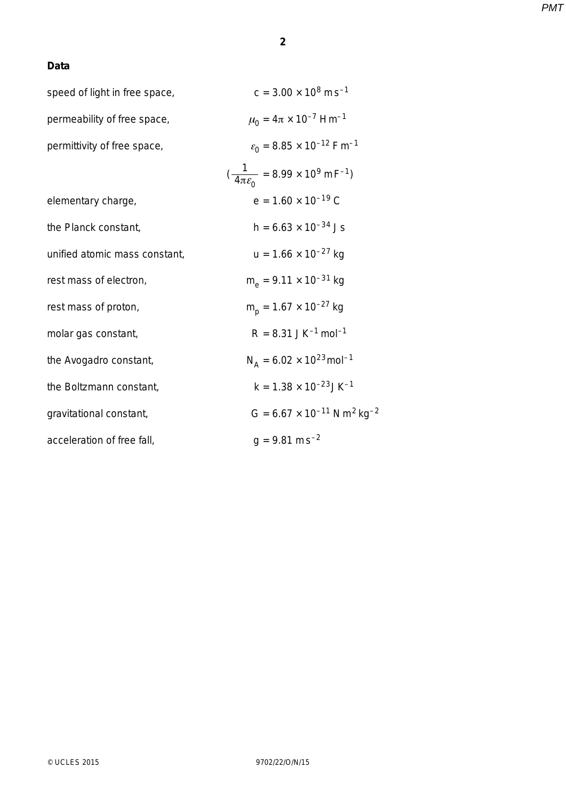# **Data**

| speed of light in free space, | $c = 3.00 \times 10^8 \text{ m s}^{-1}$                          |
|-------------------------------|------------------------------------------------------------------|
| permeability of free space,   | $\mu_0 = 4\pi \times 10^{-7}$ Hm <sup>-1</sup>                   |
| permittivity of free space,   | $\varepsilon_0$ = 8.85 × 10 <sup>-12</sup> Fm <sup>-1</sup>      |
|                               | $(\frac{1}{4\pi\epsilon_0} = 8.99 \times 10^9 \text{ m F}^{-1})$ |
| elementary charge,            | $e = 1.60 \times 10^{-19}$ C                                     |
| the Planck constant,          | $h = 6.63 \times 10^{-34}$ Js                                    |
| unified atomic mass constant, | $u = 1.66 \times 10^{-27}$ kg                                    |
| rest mass of electron,        | $m_e$ = 9.11 x 10 <sup>-31</sup> kg                              |
| rest mass of proton,          | $m_{\rm p}$ = 1.67 × 10 <sup>-27</sup> kg                        |
| molar gas constant,           | $R = 8.31$ JK <sup>-1</sup> mol <sup>-1</sup>                    |
| the Avogadro constant,        | $N_A = 6.02 \times 10^{23}$ mol <sup>-1</sup>                    |
| the Boltzmann constant,       | $k = 1.38 \times 10^{-23}$ JK <sup>-1</sup>                      |
| gravitational constant,       | $G = 6.67 \times 10^{-11}$ N m <sup>2</sup> kg <sup>-2</sup>     |
| acceleration of free fall,    | $g = 9.81$ ms <sup>-2</sup>                                      |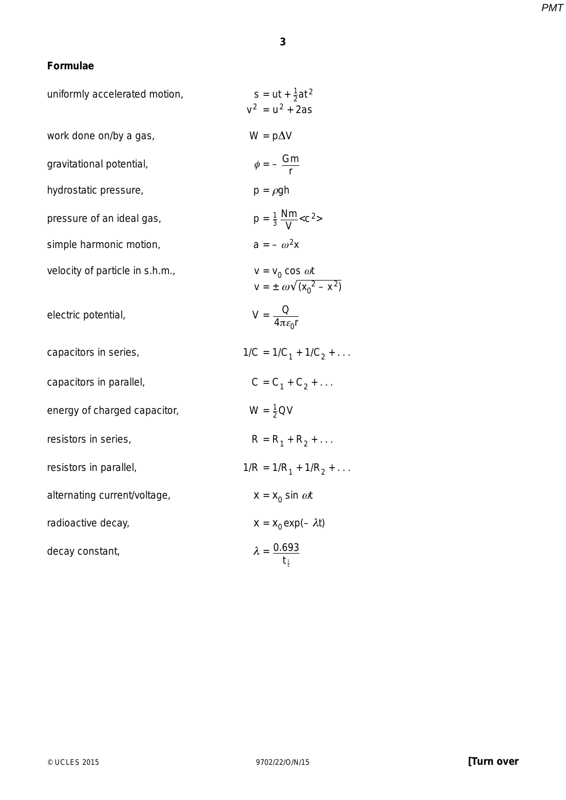### **3**

# **Formulae**

| uniformly accelerated motion,   | $s = ut + \frac{1}{2}at^2$<br>$v^2 = u^2 + 2as$                  |
|---------------------------------|------------------------------------------------------------------|
| work done on/by a gas,          | $W = p\Delta V$                                                  |
| gravitational potential,        | $\phi = -\frac{Gm}{r}$                                           |
| hydrostatic pressure,           | $p = \rho gh$                                                    |
| pressure of an ideal gas,       | $p = \frac{1}{3} \frac{Nm}{V} < c^2>$                            |
| simple harmonic motion,         | $a=-\omega^2x$                                                   |
| velocity of particle in s.h.m., | $v = v_0 \cos \omega t$<br>$v = \pm \omega \sqrt{(x_0^2 - x^2)}$ |
| electric potential,             | $V = \frac{Q}{4\pi\epsilon_{\gamma}r}$                           |
| capacitors in series,           | $1/C = 1/C_1 + 1/C_2 + \ldots$                                   |
| capacitors in parallel,         | $C = C_1 + C_2 + $                                               |
| energy of charged capacitor,    | $W = \frac{1}{2} QV$                                             |
| resistors in series,            | $R = R_1 + R_2 + $                                               |
| resistors in parallel,          | $1/R = 1/R_1 + 1/R_2 + \dots$                                    |
| alternating current/voltage,    | $x = x_0 \sin \omega t$                                          |
| radioactive decay,              | $x = x_0 \exp(-\lambda t)$                                       |
| decay constant,                 | $\lambda = \frac{0.693}{t_1}$                                    |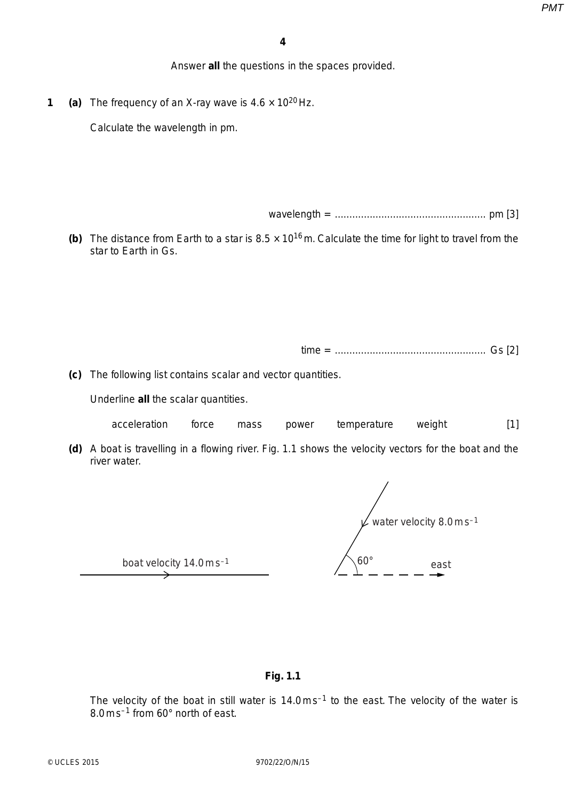Answer **all** the questions in the spaces provided.

**1** (a) The frequency of an X-ray wave is  $4.6 \times 10^{20}$  Hz.

Calculate the wavelength in pm.

wavelength = .................................................... pm [3]

**(b)** The distance from Earth to a star is  $8.5 \times 10^{16}$  m. Calculate the time for light to travel from the star to Earth in Gs.

time = .................................................... Gs [2]

 **(c)** The following list contains scalar and vector quantities.

Underline **all** the scalar quantities.

- acceleration force mass power temperature weight [1]
- **(d)** A boat is travelling in a flowing river. Fig. 1.1 shows the velocity vectors for the boat and the river water.

water velocity 8.0 m s<sup>-1</sup> 60° east

boat velocity 14.0 m s–1

### **Fig. 1.1**

The velocity of the boat in still water is 14.0 m s<sup>-1</sup> to the east. The velocity of the water is 8.0 m s–1 from 60° north of east.

© UCLES 2015 9702/22/O/N/15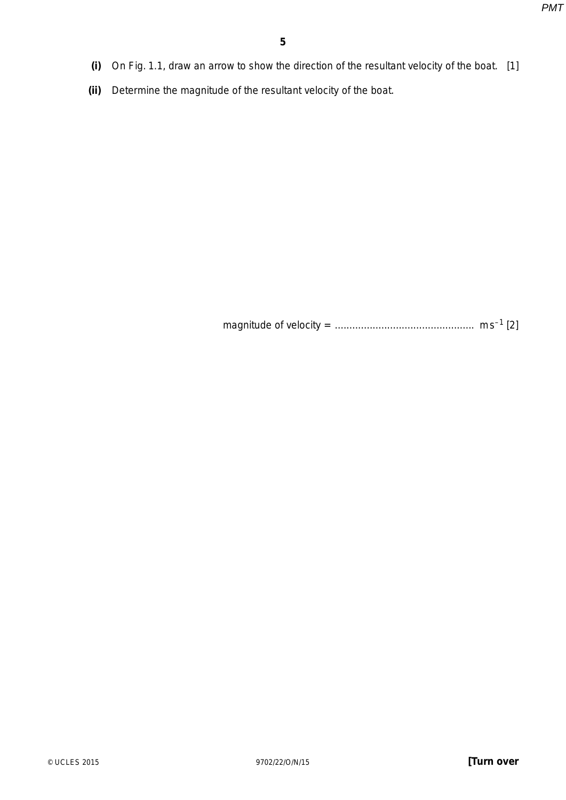- **(i)** On Fig. 1.1, draw an arrow to show the direction of the resultant velocity of the boat. [1]
- **(ii)** Determine the magnitude of the resultant velocity of the boat.

magnitude of velocity = ................................................ m s–1 [2]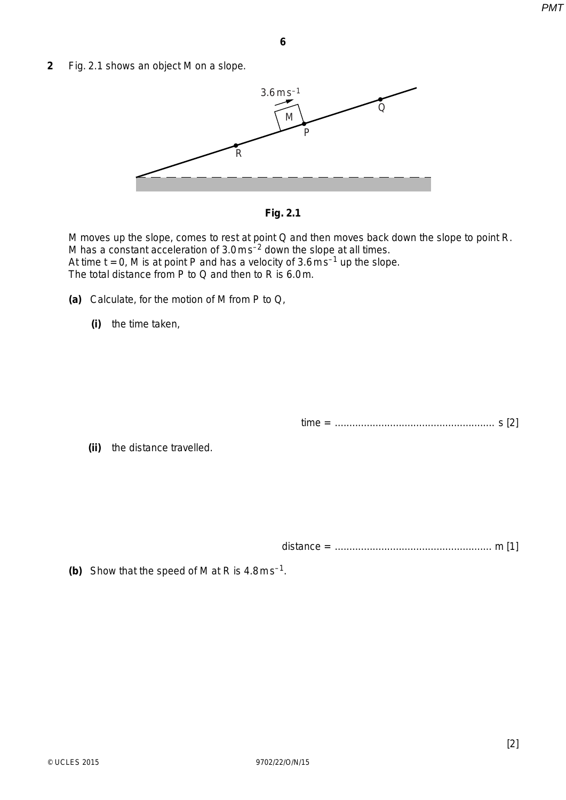**2** Fig. 2.1 shows an object M on a slope.



**Fig. 2.1**

M moves up the slope, comes to rest at point Q and then moves back down the slope to point R. M has a constant acceleration of 3.0 m s–2 down the slope at all times. At time  $t = 0$ , M is at point P and has a velocity of  $3.6 \text{ m s}^{-1}$  up the slope. The total distance from P to Q and then to R is 6.0 m.

- **(a)** Calculate, for the motion of M from P to Q,
	- **(i)** the time taken,

```
time = ....................................................... s [2]
```
 **(ii)** the distance travelled.

distance = ...................................................... m [1]

 **(b)** Show that the speed of M at R is 4.8 m s–1.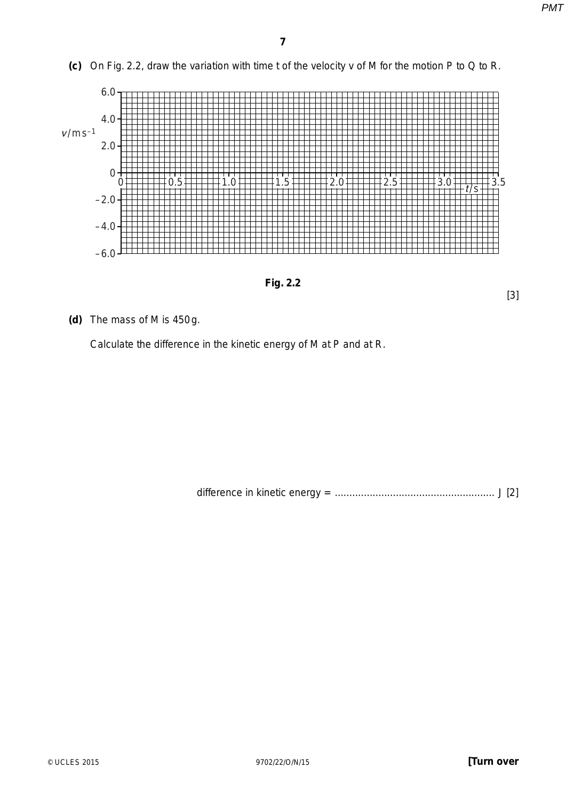[3]

 **(c)** On Fig. 2.2, draw the variation with time *t* of the velocity *v* of M for the motion P to Q to R.



**Fig. 2.2**

 **(d)** The mass of M is 450 g.

Calculate the difference in the kinetic energy of M at P and at R.

difference in kinetic energy = ....................................................... J [2]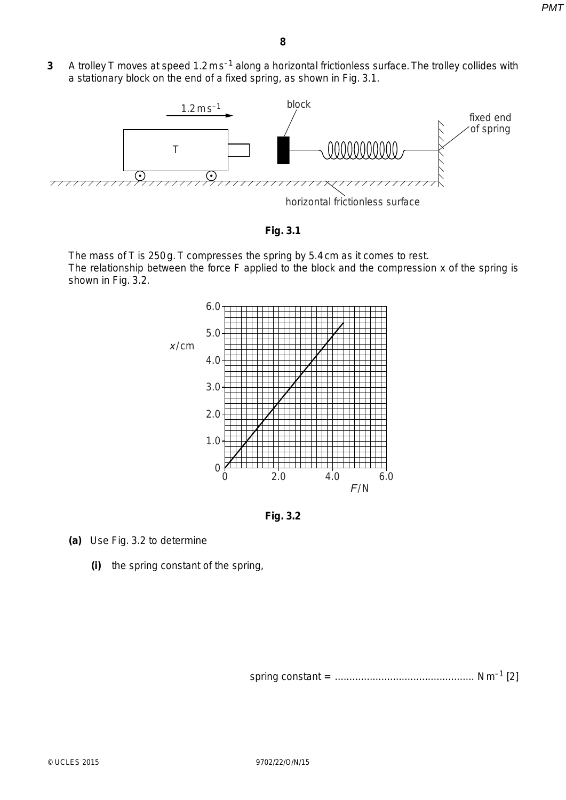**3** A trolley T moves at speed 1.2 m s<sup>-1</sup> along a horizontal frictionless surface. The trolley collides with a stationary block on the end of a fixed spring, as shown in Fig. 3.1.





The mass of T is 250 g. T compresses the spring by 5.4 cm as it comes to rest. The relationship between the force *F* applied to the block and the compression *x* of the spring is shown in Fig. 3.2.



**Fig. 3.2**

- **(a)** Use Fig. 3.2 to determine
	- **(i)** the spring constant of the spring,

spring constant = ................................................ N m–1 [2]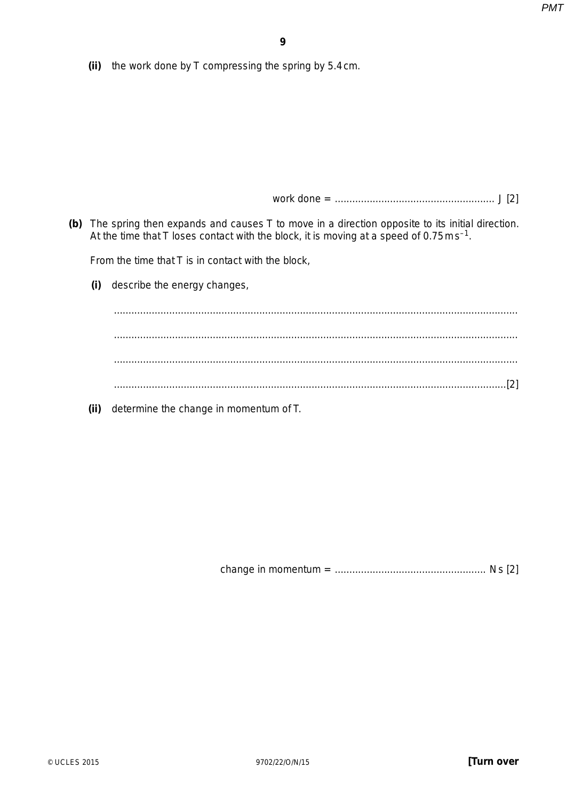**(ii)** the work done by T compressing the spring by 5.4 cm.

work done = ....................................................... J [2]

 **(b)** The spring then expands and causes T to move in a direction opposite to its initial direction. At the time that T loses contact with the block, it is moving at a speed of  $0.75 \text{ m s}^{-1}$ .

From the time that T is in contact with the block,

 **(i)** describe the energy changes,

 ........................................................................................................................................... ........................................................................................................................................... ........................................................................................................................................... .......................................................................................................................................[2]

 **(ii)** determine the change in momentum of T.

change in momentum = .................................................... N s [2]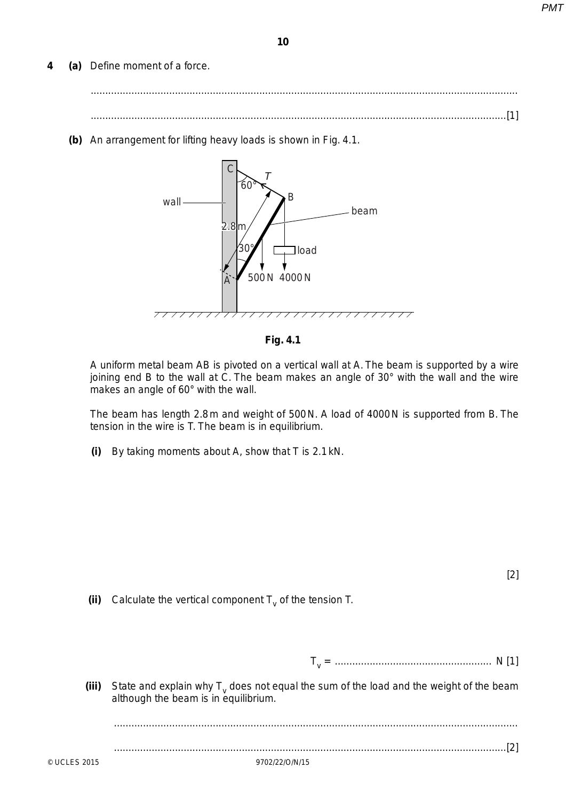**4 (a)** Define *moment of a force*.

 ................................................................................................................................................... ...............................................................................................................................................[1]

 **(b)** An arrangement for lifting heavy loads is shown in Fig. 4.1.



**Fig. 4.1**

A uniform metal beam AB is pivoted on a vertical wall at A. The beam is supported by a wire joining end B to the wall at C. The beam makes an angle of 30° with the wall and the wire makes an angle of 60° with the wall.

The beam has length 2.8m and weight of 500 N. A load of 4000 N is supported from B. The tension in the wire is *T.* The beam is in equilibrium.

 **(i)** By taking moments about A, show that *T* is 2.1 kN.

[2]

**(ii)** Calculate the vertical component  $T_v$  of the tension  $T$ .

 *T*v = ...................................................... N [1]

**(iii)** State and explain why  $T_v$  does not equal the sum of the load and the weight of the beam although the beam is in equilibrium.

...........................................................................................................................................

.......................................................................................................................................[2]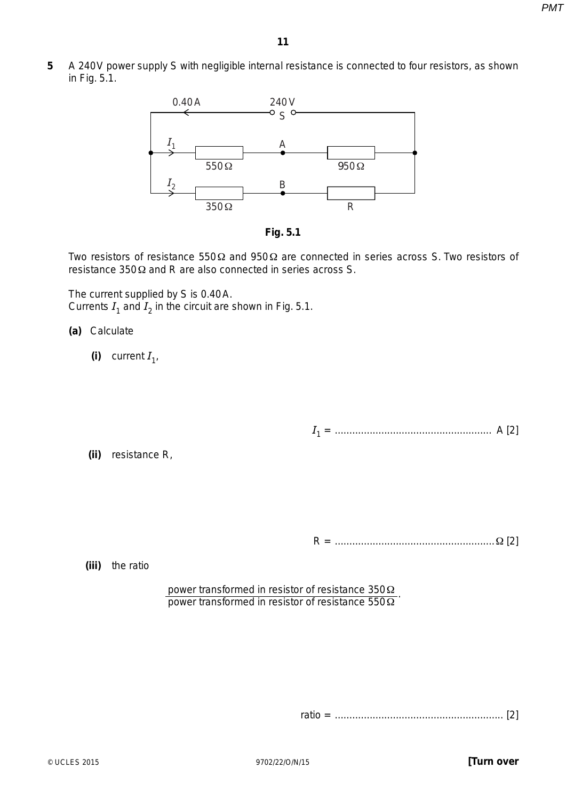**5** A 240 V power supply S with negligible internal resistance is connected to four resistors, as shown in Fig. 5.1.





Two resistors of resistance 550 Ω and 950 Ω are connected in series across S. Two resistors of resistance 350 Ω and *R* are also connected in series across S.

The current supplied by S is 0.40 A. Currents  $I_1$  and  $I_2$  in the circuit are shown in Fig. 5.1.

# **(a)** Calculate

(i) current  $I_1$ ,

 *I*1 = ...................................................... A [2]

 **(ii)** resistance *R*,

*R* = .......................................................Ω [2]

 **(iii)** the ratio

power transformed in resistor of resistance 350 Ω power transformed in resistor of resistance  $550\Omega$ 

ratio = .......................................................... [2]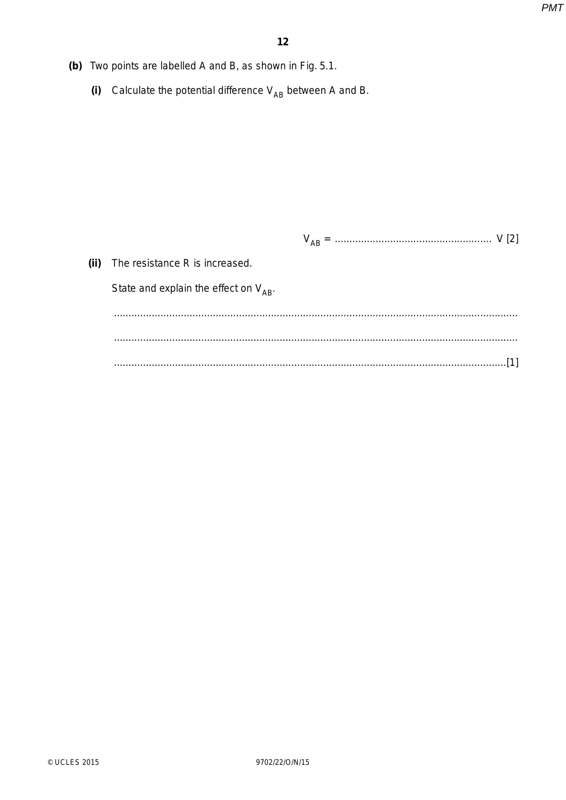- (b) Two points are labelled A and B, as shown in Fig. 5.1.
	- (i) Calculate the potential difference  $V_{AB}$  between A and B.

| (ii) | The resistance R is increased.             |
|------|--------------------------------------------|
|      | State and explain the effect on $V_{AB}$ . |
|      |                                            |
|      |                                            |
|      |                                            |
|      |                                            |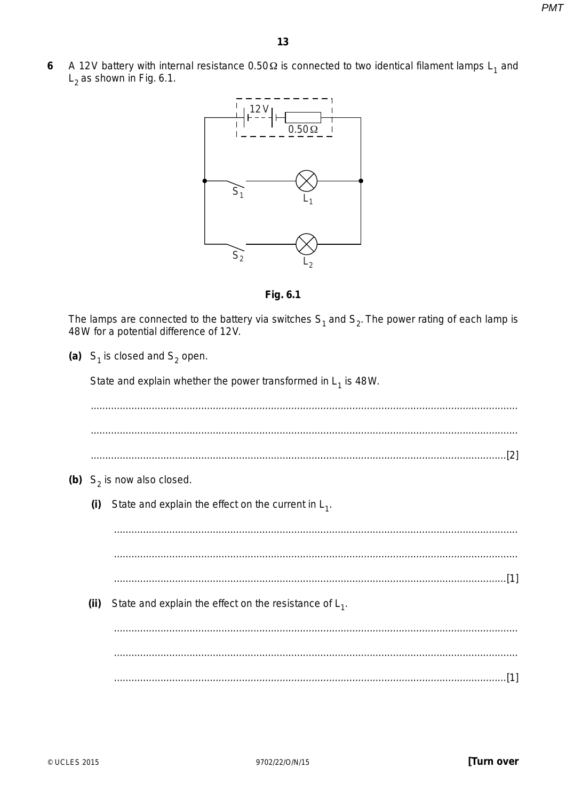A 12V battery with internal resistance 0.50  $\Omega$  is connected to two identical filament lamps L<sub>1</sub> and 6  $L<sub>2</sub>$  as shown in Fig. 6.1.



Fig. 6.1

The lamps are connected to the battery via switches  $S_1$  and  $S_2$ . The power rating of each lamp is 48W for a potential difference of 12V.

(a)  $S_1$  is closed and  $S_2$  open.

State and explain whether the power transformed in  $L_1$  is 48W.

(b)  $S_2$  is now also closed. State and explain the effect on the current in  $L_1$ .  $(i)$  $(ii)$ State and explain the effect on the resistance of  $L_1$ .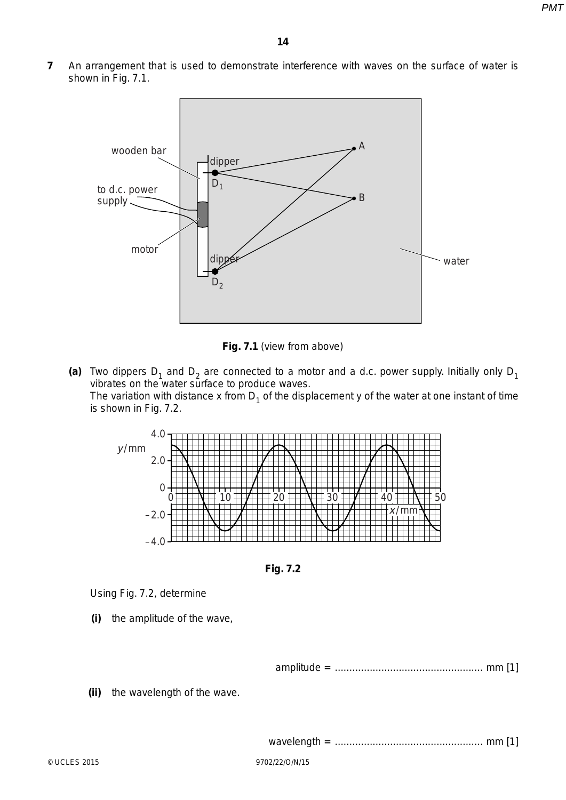**7** An arrangement that is used to demonstrate interference with waves on the surface of water is shown in Fig. 7.1.



**Fig. 7.1** (view from above)

(a) Two dippers  $D_1$  and  $D_2$  are connected to a motor and a d.c. power supply. Initially only  $D_1$ vibrates on the water surface to produce waves. The variation with distance x from  $D_1$  of the displacement y of the water at one instant of time is shown in Fig. 7.2.



**Fig. 7.2**

Using Fig. 7.2, determine

 **(i)** the amplitude of the wave,

amplitude = ................................................... mm [1]

 **(ii)** the wavelength of the wave.

wavelength = ................................................... mm [1]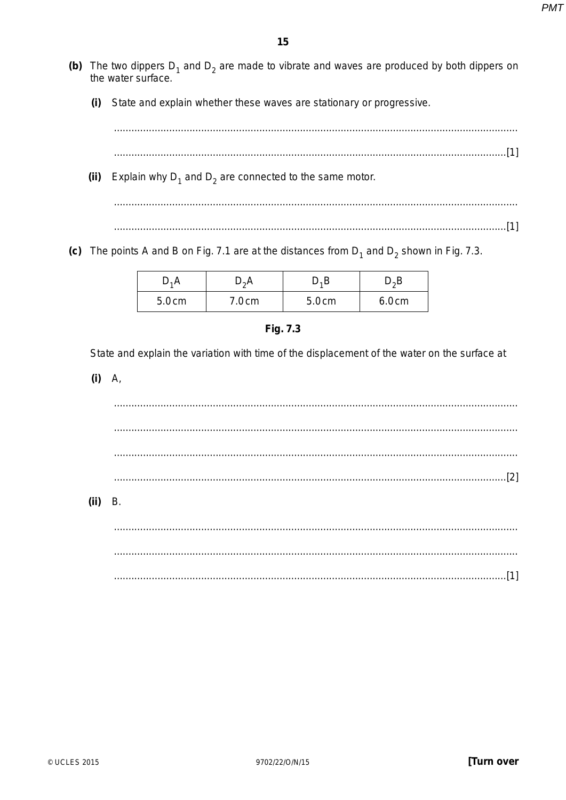- (b) The two dippers  $D_1$  and  $D_2$  are made to vibrate and waves are produced by both dippers on the water surface.
	- State and explain whether these waves are stationary or progressive.  $(i)$

(ii) Explain why  $D_1$  and  $D_2$  are connected to the same motor.

(c) The points A and B on Fig. 7.1 are at the distances from  $D_1$  and  $D_2$  shown in Fig. 7.3.

| D,A   | $D_2A$ | C,C   | D.B   |
|-------|--------|-------|-------|
| 5.0cm | 7.0cm  | 5.0cm | 6.0cm |

State and explain the variation with time of the displacement of the water on the surface at

 $(i)$  A,

 $(ii)$  B.